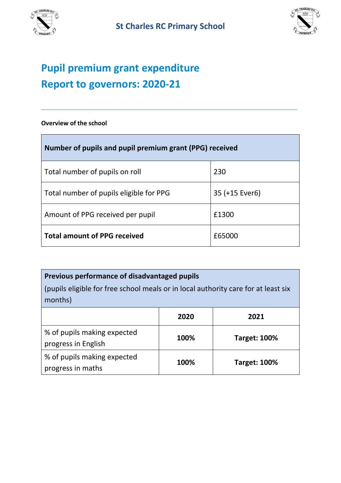



# **Pupil premium grant expenditure Report to governors: 2020-21**

**Overview of the school**

| Number of pupils and pupil premium grant (PPG) received |                |  |  |
|---------------------------------------------------------|----------------|--|--|
| Total number of pupils on roll                          | 230            |  |  |
| Total number of pupils eligible for PPG                 | 35 (+15 Ever6) |  |  |
| Amount of PPG received per pupil                        | £1300          |  |  |
| <b>Total amount of PPG received</b>                     | £65000         |  |  |

### **Previous performance of disadvantaged pupils**

(pupils eligible for free school meals or in local authority care for at least six months)

|                                                    | 2020 | 2021                |
|----------------------------------------------------|------|---------------------|
| % of pupils making expected<br>progress in English | 100% | <b>Target: 100%</b> |
| % of pupils making expected<br>progress in maths   | 100% | <b>Target: 100%</b> |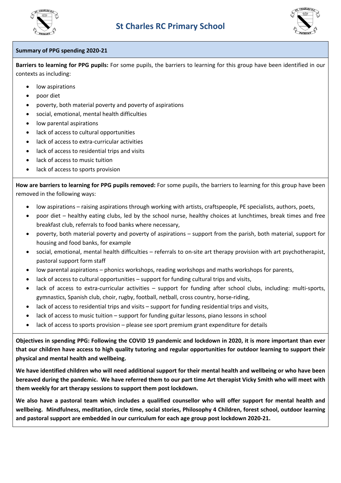



#### **Summary of PPG spending 2020-21**

**Barriers to learning for PPG pupils:** For some pupils, the barriers to learning for this group have been identified in our contexts as including:

- low aspirations
- poor diet
- poverty, both material poverty and poverty of aspirations
- social, emotional, mental health difficulties
- low parental aspirations
- lack of access to cultural opportunities
- lack of access to extra-curricular activities
- lack of access to residential trips and visits
- lack of access to music tuition
- lack of access to sports provision

**How are barriers to learning for PPG pupils removed:** For some pupils, the barriers to learning for this group have been removed in the following ways:

- low aspirations raising aspirations through working with artists, craftspeople, PE specialists, authors, poets,
- poor diet healthy eating clubs, led by the school nurse, healthy choices at lunchtimes, break times and free breakfast club, referrals to food banks where necessary,
- poverty, both material poverty and poverty of aspirations support from the parish, both material, support for housing and food banks, for example
- social, emotional, mental health difficulties referrals to on-site art therapy provision with art psychotherapist, pastoral support form staff
- low parental aspirations phonics workshops, reading workshops and maths workshops for parents,
- lack of access to cultural opportunities support for funding cultural trips and visits,
- lack of access to extra-curricular activities support for funding after school clubs, including: multi-sports, gymnastics, Spanish club, choir, rugby, football, netball, cross country, horse-riding,
- lack of access to residential trips and visits support for funding residential trips and visits,
- lack of access to music tuition support for funding guitar lessons, piano lessons in school
- lack of access to sports provision please see sport premium grant expenditure for details

**Objectives in spending PPG: Following the COVID 19 pandemic and lockdown in 2020, it is more important than ever that our children have access to high quality tutoring and regular opportunities for outdoor learning to support their physical and mental health and wellbeing.**

**We have identified children who will need additional support for their mental health and wellbeing or who have been bereaved during the pandemic. We have referred them to our part time Art therapist Vicky Smith who will meet with them weekly for art therapy sessions to support them post lockdown.** 

**We also have a pastoral team which includes a qualified counsellor who will offer support for mental health and wellbeing. Mindfulness, meditation, circle time, social stories, Philosophy 4 Children, forest school, outdoor learning and pastoral support are embedded in our curriculum for each age group post lockdown 2020-21.**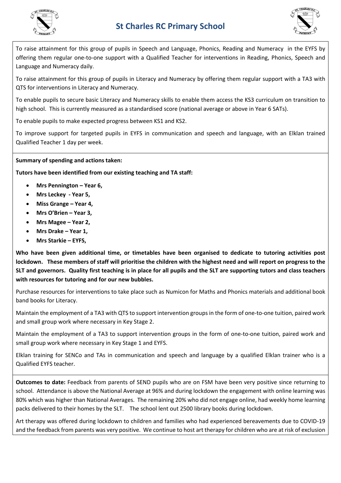



To raise attainment for this group of pupils in Speech and Language, Phonics, Reading and Numeracy in the EYFS by offering them regular one-to-one support with a Qualified Teacher for interventions in Reading, Phonics, Speech and Language and Numeracy daily.

To raise attainment for this group of pupils in Literacy and Numeracy by offering them regular support with a TA3 with QTS for interventions in Literacy and Numeracy.

To enable pupils to secure basic Literacy and Numeracy skills to enable them access the KS3 curriculum on transition to high school. This is currently measured as a standardised score (national average or above in Year 6 SATs).

To enable pupils to make expected progress between KS1 and KS2.

To improve support for targeted pupils in EYFS in communication and speech and language, with an Elklan trained Qualified Teacher 1 day per week.

### **Summary of spending and actions taken:**

**Tutors have been identified from our existing teaching and TA staff:** 

- **Mrs Pennington – Year 6,**
- **Mrs Leckey - Year 5,**
- **Miss Grange – Year 4,**
- **Mrs O'Brien – Year 3,**
- **Mrs Magee – Year 2,**
- **Mrs Drake – Year 1,**
- **Mrs Starkie – EYFS,**

**Who have been given additional time, or timetables have been organised to dedicate to tutoring activities post lockdown. These members of staff will prioritise the children with the highest need and will report on progress to the SLT and governors. Quality first teaching is in place for all pupils and the SLT are supporting tutors and class teachers with resources for tutoring and for our new bubbles.** 

Purchase resources for interventions to take place such as Numicon for Maths and Phonics materials and additional book band books for Literacy.

Maintain the employment of a TA3 with QTS to support intervention groups in the form of one-to-one tuition, paired work and small group work where necessary in Key Stage 2.

Maintain the employment of a TA3 to support intervention groups in the form of one-to-one tuition, paired work and small group work where necessary in Key Stage 1 and EYFS.

Elklan training for SENCo and TAs in communication and speech and language by a qualified Elklan trainer who is a Qualified EYFS teacher.

**Outcomes to date:** Feedback from parents of SEND pupils who are on FSM have been very positive since returning to school. Attendance is above the National Average at 96% and during lockdown the engagement with online learning was 80% which was higher than National Averages. The remaining 20% who did not engage online, had weekly home learning packs delivered to their homes by the SLT. The school lent out 2500 library books during lockdown.

Art therapy was offered during lockdown to children and families who had experienced bereavements due to COVID-19 and the feedback from parents was very positive. We continue to host art therapy for children who are at risk of exclusion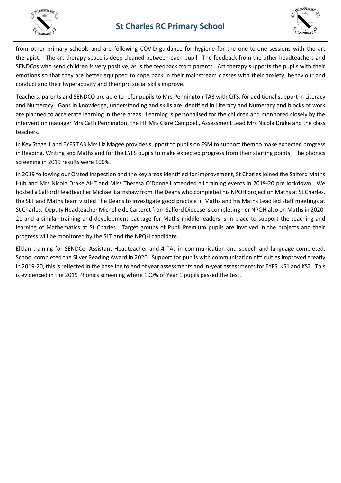



from other primary schools and are following COVID guidance for hygiene for the one-to-one sessions with the art therapist. The art therapy space is deep cleaned between each pupil. The feedback from the other headteachers and SENDCos who send children is very positive, as is the feedback from parents. Art therapy supports the pupils with their emotions so that they are better equipped to cope back in their mainstream classes with their anxiety, behaviour and conduct and their hyperactivity and their pro social skills improve.

Teachers, parents and SENDCO are able to refer pupils to Mrs Pennington TA3 with QTS, for additional support in Literacy and Numeracy. Gaps in knowledge, understanding and skills are identified in Literacy and Numeracy and blocks of work are planned to accelerate learning in these areas. Learning is personalised for the children and monitored closely by the intervention manager Mrs Cath Pennington, the HT Mrs Clare Campbell, Assessment Lead Mrs Nicola Drake and the class teachers.

In Key Stage 1 and EYFS TA3 Mrs Liz Magee provides support to pupils on FSM to support them to make expected progress in Reading, Writing and Maths and for the EYFS pupils to make expected progress from their starting points. The phonics screening in 2019 results were 100%.

In 2019 following our Ofsted inspection and the key areas identified for improvement, St Charles joined the Salford Maths Hub and Mrs Nicola Drake AHT and Miss Theresa O'Donnell attended all training events in 2019-20 pre lockdown. We hosted a Salford Headteacher Michael Earnshaw from The Deans who completed his NPQH project on Maths at St Charles, the SLT and Maths team visited The Deans to investigate good practice in Maths and his Maths Lead led staff meetings at St Charles. Deputy Headteacher Michelle de Carteret from Salford Diocese is completing her NPQH also on Maths in 2020- 21 and a similar training and development package for Maths middle leaders is in place to support the teaching and learning of Mathematics at St Charles. Target groups of Pupil Premium pupils are involved in the projects and their progress will be monitored by the SLT and the NPQH candidate.

Elklan training for SENDCo, Assistant Headteacher and 4 TAs in communication and speech and language completed. School completed the Silver Reading Award in 2020. Support for pupils with communication difficulties improved greatly in 2019-20, this is reflected in the baseline to end of year assessments and in-year assessments for EYFS, KS1 and KS2. This is evidenced in the 2019 Phonics screening where 100% of Year 1 pupils passed the test.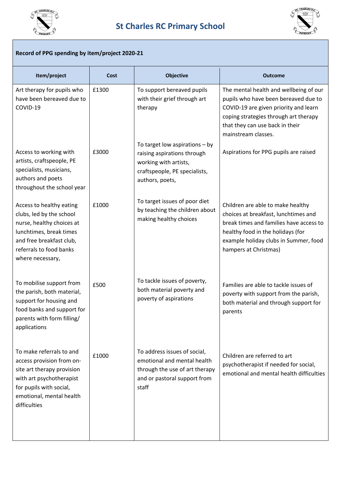



### **Record of PPG spending by item/project 2020-21**

| Item/project                                                                                                                                                                            | Cost  | <b>Objective</b>                                                                                                                             | <b>Outcome</b>                                                                                                                                                                                                              |
|-----------------------------------------------------------------------------------------------------------------------------------------------------------------------------------------|-------|----------------------------------------------------------------------------------------------------------------------------------------------|-----------------------------------------------------------------------------------------------------------------------------------------------------------------------------------------------------------------------------|
| Art therapy for pupils who<br>have been bereaved due to<br>COVID-19                                                                                                                     | £1300 | To support bereaved pupils<br>with their grief through art<br>therapy                                                                        | The mental health and wellbeing of our<br>pupils who have been bereaved due to<br>COVID-19 are given priority and learn<br>coping strategies through art therapy<br>that they can use back in their<br>mainstream classes.  |
| Access to working with<br>artists, craftspeople, PE<br>specialists, musicians,<br>authors and poets<br>throughout the school year                                                       | £3000 | To target low aspirations $-$ by<br>raising aspirations through<br>working with artists,<br>craftspeople, PE specialists,<br>authors, poets, | Aspirations for PPG pupils are raised                                                                                                                                                                                       |
| Access to healthy eating<br>clubs, led by the school<br>nurse, healthy choices at<br>lunchtimes, break times<br>and free breakfast club,<br>referrals to food banks<br>where necessary, | £1000 | To target issues of poor diet<br>by teaching the children about<br>making healthy choices                                                    | Children are able to make healthy<br>choices at breakfast, lunchtimes and<br>break times and families have access to<br>healthy food in the holidays (for<br>example holiday clubs in Summer, food<br>hampers at Christmas) |
| To mobilise support from<br>the parish, both material,<br>support for housing and<br>food banks and support for<br>parents with form filling/<br>applications                           | £500  | To tackle issues of poverty,<br>both material poverty and<br>poverty of aspirations                                                          | Families are able to tackle issues of<br>poverty with support from the parish,<br>both material and through support for<br>parents                                                                                          |
| To make referrals to and<br>access provision from on-<br>site art therapy provision<br>with art psychotherapist<br>for pupils with social,<br>emotional, mental health<br>difficulties  | £1000 | To address issues of social,<br>emotional and mental health<br>through the use of art therapy<br>and or pastoral support from<br>staff       | Children are referred to art<br>psychotherapist if needed for social,<br>emotional and mental health difficulties                                                                                                           |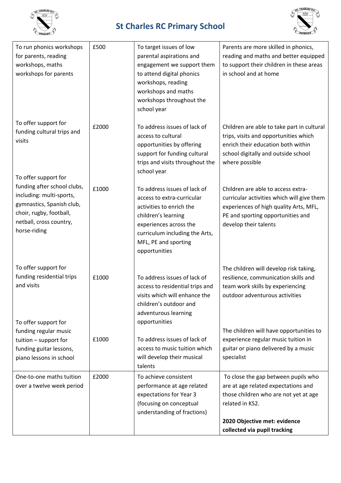



| To run phonics workshops<br>for parents, reading<br>workshops, maths<br>workshops for parents                                                              | £500  | To target issues of low<br>parental aspirations and<br>engagement we support them<br>to attend digital phonics<br>workshops, reading<br>workshops and maths<br>workshops throughout the<br>school year             | Parents are more skilled in phonics,<br>reading and maths and better equipped<br>to support their children in these areas<br>in school and at home                                                     |
|------------------------------------------------------------------------------------------------------------------------------------------------------------|-------|--------------------------------------------------------------------------------------------------------------------------------------------------------------------------------------------------------------------|--------------------------------------------------------------------------------------------------------------------------------------------------------------------------------------------------------|
| To offer support for<br>funding cultural trips and<br>visits<br>To offer support for                                                                       | £2000 | To address issues of lack of<br>access to cultural<br>opportunities by offering<br>support for funding cultural<br>trips and visits throughout the<br>school year                                                  | Children are able to take part in cultural<br>trips, visits and opportunities which<br>enrich their education both within<br>school digitally and outside school<br>where possible                     |
| funding after school clubs,<br>including: multi-sports,<br>gymnastics, Spanish club,<br>choir, rugby, football,<br>netball, cross country,<br>horse-riding | £1000 | To address issues of lack of<br>access to extra-curricular<br>activities to enrich the<br>children's learning<br>experiences across the<br>curriculum including the Arts,<br>MFL, PE and sporting<br>opportunities | Children are able to access extra-<br>curricular activities which will give them<br>experiences of high quality Arts, MFL,<br>PE and sporting opportunities and<br>develop their talents               |
| To offer support for<br>funding residential trips<br>and visits<br>To offer support for                                                                    | £1000 | To address issues of lack of<br>access to residential trips and<br>visits which will enhance the<br>children's outdoor and<br>adventurous learning<br>opportunities                                                | The children will develop risk taking,<br>resilience, communication skills and<br>team work skills by experiencing<br>outdoor adventurous activities                                                   |
| funding regular music<br>tuition - support for<br>funding guitar lessons,<br>piano lessons in school                                                       | £1000 | To address issues of lack of<br>access to music tuition which<br>will develop their musical<br>talents                                                                                                             | The children will have opportunities to<br>experience regular music tuition in<br>guitar or piano delivered by a music<br>specialist                                                                   |
| One-to-one maths tuition<br>over a twelve week period                                                                                                      | £2000 | To achieve consistent<br>performance at age related<br>expectations for Year 3<br>(focusing on conceptual<br>understanding of fractions)                                                                           | To close the gap between pupils who<br>are at age related expectations and<br>those children who are not yet at age<br>related in KS2.<br>2020 Objective met: evidence<br>collected via pupil tracking |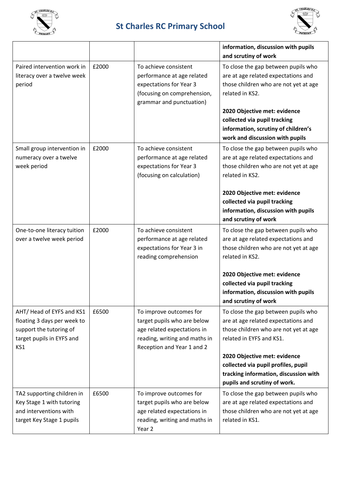



|                                                                                                                        |       |                                                                                                                                                      | information, discussion with pupils<br>and scrutiny of work                                                                                                                                                                                                                                     |
|------------------------------------------------------------------------------------------------------------------------|-------|------------------------------------------------------------------------------------------------------------------------------------------------------|-------------------------------------------------------------------------------------------------------------------------------------------------------------------------------------------------------------------------------------------------------------------------------------------------|
| Paired intervention work in<br>literacy over a twelve week<br>period                                                   | £2000 | To achieve consistent<br>performance at age related<br>expectations for Year 3<br>(focusing on comprehension,<br>grammar and punctuation)            | To close the gap between pupils who<br>are at age related expectations and<br>those children who are not yet at age<br>related in KS2.<br>2020 Objective met: evidence<br>collected via pupil tracking<br>information, scrutiny of children's<br>work and discussion with pupils                |
| Small group intervention in<br>numeracy over a twelve<br>week period                                                   | £2000 | To achieve consistent<br>performance at age related<br>expectations for Year 3<br>(focusing on calculation)                                          | To close the gap between pupils who<br>are at age related expectations and<br>those children who are not yet at age<br>related in KS2.<br>2020 Objective met: evidence<br>collected via pupil tracking<br>information, discussion with pupils<br>and scrutiny of work                           |
| One-to-one literacy tuition<br>over a twelve week period                                                               | £2000 | To achieve consistent<br>performance at age related<br>expectations for Year 3 in<br>reading comprehension                                           | To close the gap between pupils who<br>are at age related expectations and<br>those children who are not yet at age<br>related in KS2.<br>2020 Objective met: evidence<br>collected via pupil tracking<br>information, discussion with pupils<br>and scrutiny of work                           |
| AHT/Head of EYFS and KS1<br>floating 3 days per week to<br>support the tutoring of<br>target pupils in EYFS and<br>KS1 | £6500 | To improve outcomes for<br>target pupils who are below<br>age related expectations in<br>reading, writing and maths in<br>Reception and Year 1 and 2 | To close the gap between pupils who<br>are at age related expectations and<br>those children who are not yet at age<br>related in EYFS and KS1.<br>2020 Objective met: evidence<br>collected via pupil profiles, pupil<br>tracking information, discussion with<br>pupils and scrutiny of work. |
| TA2 supporting children in<br>Key Stage 1 with tutoring<br>and interventions with<br>target Key Stage 1 pupils         | £6500 | To improve outcomes for<br>target pupils who are below<br>age related expectations in<br>reading, writing and maths in<br>Year 2                     | To close the gap between pupils who<br>are at age related expectations and<br>those children who are not yet at age<br>related in KS1.                                                                                                                                                          |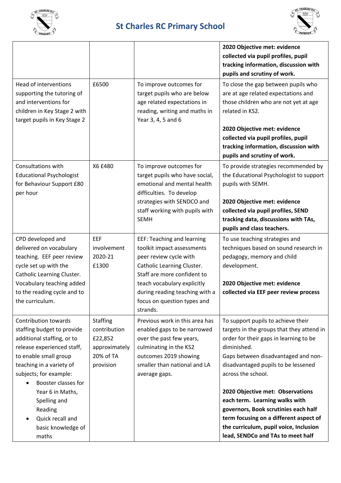



|                                                                                                                                                                                                                             |                                                                                       |                                                                                                                                                                                                                                                                    | 2020 Objective met: evidence<br>collected via pupil profiles, pupil<br>tracking information, discussion with<br>pupils and scrutiny of work.                                                                                                 |
|-----------------------------------------------------------------------------------------------------------------------------------------------------------------------------------------------------------------------------|---------------------------------------------------------------------------------------|--------------------------------------------------------------------------------------------------------------------------------------------------------------------------------------------------------------------------------------------------------------------|----------------------------------------------------------------------------------------------------------------------------------------------------------------------------------------------------------------------------------------------|
| Head of interventions<br>supporting the tutoring of<br>and interventions for<br>children in Key Stage 2 with<br>target pupils in Key Stage 2                                                                                | £6500                                                                                 | To improve outcomes for<br>target pupils who are below<br>age related expectations in<br>reading, writing and maths in<br>Year 3, 4, 5 and 6                                                                                                                       | To close the gap between pupils who<br>are at age related expectations and<br>those children who are not yet at age<br>related in KS2.                                                                                                       |
|                                                                                                                                                                                                                             |                                                                                       |                                                                                                                                                                                                                                                                    | 2020 Objective met: evidence<br>collected via pupil profiles, pupil<br>tracking information, discussion with<br>pupils and scrutiny of work.                                                                                                 |
| Consultations with<br><b>Educational Psychologist</b><br>for Behaviour Support £80<br>per hour                                                                                                                              | X6 £480                                                                               | To improve outcomes for<br>target pupils who have social,<br>emotional and mental health<br>difficulties. To develop                                                                                                                                               | To provide strategies recommended by<br>the Educational Psychologist to support<br>pupils with SEMH.                                                                                                                                         |
|                                                                                                                                                                                                                             |                                                                                       | strategies with SENDCO and<br>staff working with pupils with<br><b>SEMH</b>                                                                                                                                                                                        | 2020 Objective met: evidence<br>collected via pupil profiles, SEND<br>tracking data, discussions with TAs,<br>pupils and class teachers.                                                                                                     |
| CPD developed and<br>delivered on vocabulary<br>teaching. EEF peer review<br>cycle set up with the<br>Catholic Learning Cluster.<br>Vocabulary teaching added<br>to the reading cycle and to<br>the curriculum.             | EEF<br>involvement<br>2020-21<br>£1300                                                | <b>EEF: Teaching and learning</b><br>toolkit impact assessments<br>peer review cycle with<br>Catholic Learning Cluster.<br>Staff are more confident to<br>teach vocabulary explicitly<br>during reading teaching with a<br>focus on question types and<br>strands. | To use teaching strategies and<br>techniques based on sound research in<br>pedagogy, memory and child<br>development.<br>2020 Objective met: evidence<br>collected via EEF peer review process                                               |
| <b>Contribution towards</b><br>staffing budget to provide<br>additional staffing, or to<br>release experienced staff,<br>to enable small group<br>teaching in a variety of<br>subjects; for example:<br>Booster classes for | <b>Staffing</b><br>contribution<br>£22,852<br>approximately<br>20% of TA<br>provision | Previous work in this area has<br>enabled gaps to be narrowed<br>over the past few years,<br>culminating in the KS2<br>outcomes 2019 showing<br>smaller than national and LA<br>average gaps.                                                                      | To support pupils to achieve their<br>targets in the groups that they attend in<br>order for their gaps in learning to be<br>diminished.<br>Gaps between disadvantaged and non-<br>disadvantaged pupils to be lessened<br>across the school. |
| Year 6 in Maths,<br>Spelling and<br>Reading<br>Quick recall and<br>basic knowledge of<br>maths                                                                                                                              |                                                                                       |                                                                                                                                                                                                                                                                    | 2020 Objective met: Observations<br>each term. Learning walks with<br>governors, Book scrutinies each half<br>term focusing on a different aspect of<br>the curriculum, pupil voice, Inclusion<br>lead, SENDCo and TAs to meet half          |